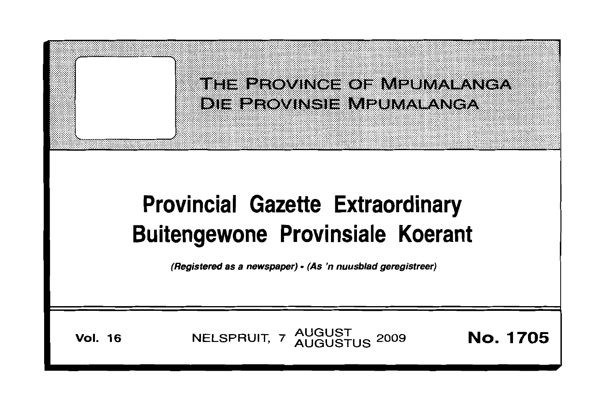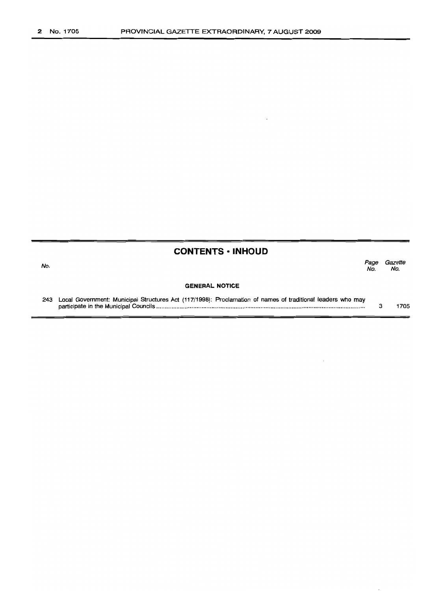## No.

## **CONTENTS • INHOUD**

Page Gazette<br>No. No. No. No.

#### **GENERAL NOTICE**

243 Local Government: Municipal Structures Act (117/1998): Proclamation of names of traditional leaders who may participate in the Municipal Councils .. 3 1705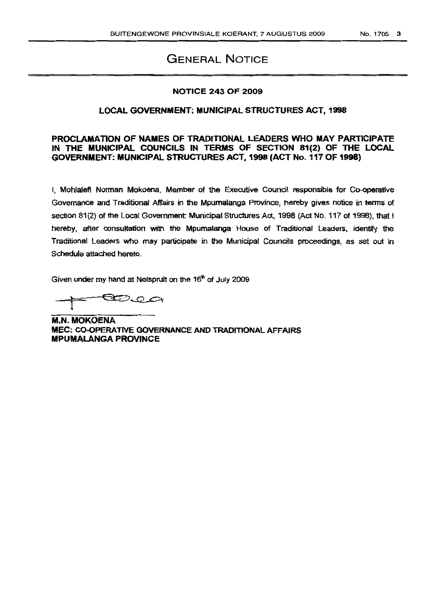# GENERAL NOTICE

## NOTICE 243 OF 2009

## LOCAL GOVERNMENT; MUNICIPAL STRUCTURES ACT. 1998

## PROCLAMATION OF NAMES OF TRADITIONAL LEADERS WHO MAY PARTICIPATE IN THE MUNICIPAL COUNCILS IN TERMS OF SECTION 81(2) OF THE LOCAL GOVERNMENT: MUNICIPAL STRUCTURES ACT, 1998 (ACT No, 117 OF 1998)

I, Mohlalefi Norman Mokoena, Member of the Executive Council responsible for Co-operative Governance and Traditional Affairs in the Mpumalanga Province, hereby gives notice in tenns of section 81(2) of the Local Government: Municipal Structures Act, 1998 (Act No. 117 of 1998), that I hereby, after consultation with the Mpumalanga House of Traditional Leaders. identify the Traditional Leaders who may participate in the Municipal Councils proceedings, as set out in Schedule attached hereto.

Given under my hand at Nelspruit on the 16<sup>th</sup> of July 2009

~J2C>i

M.N. MOKOENA MEC: CO-OPERATIVE GOVERNANCe AND TRADITIONAL AFFAIRS MPUMALANGA PROVINCE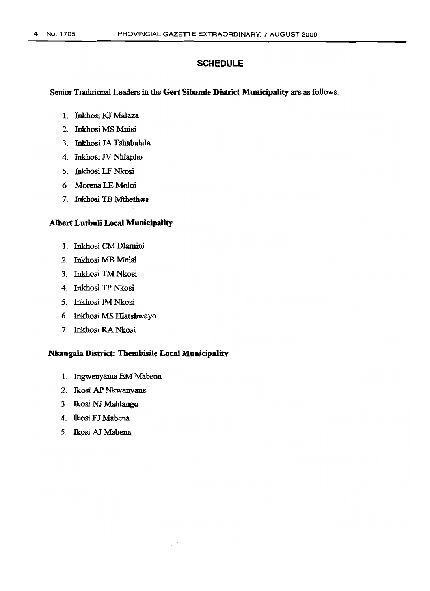## **SCHEDULE**

Senior Traditional Leaders in the Gert Sibande District Municipality are as follows:

- l. Inkhosi KJ Malaza
- 2. Inkhosi MS Mnisi
- 3. Inkhosi JA Tsbabalala
- 4. Inkhosi JV Nhlapho
- 5. Inkhosi LF Nkosi
- 6. Morena LE Moloi
- 7. Inkhosi TB Mthetbwa

## Albert Lutbuli Local Municipality

- 1. Inkhosi CMDlamini
- 2. Inkhosi MB Mnisi
- 3. Inkhosi TM Nkosi
- 4. Inkhosi TP Nkosi
- 5. Inkhosi 1M Nkosi
- 6. Inkhosi MS lllatshwayo
- 7. Inkhosi RA Nkosi

## Nkangala District: Thembisile Local Municipality

- 1. lngwenyama EM Mabena
- 2. Ikosi AP Nkwanyane
- 3. lkosi NJ Mahlangu
- 4. Ikosi FJ Mabena
- 5. Ikosi AJ Mabena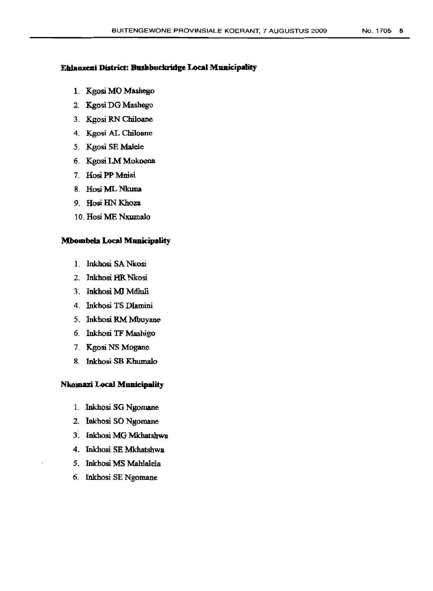#### Ehlanzeni District: Bushbuckridge Local Municipality

- 1. Kgosi MO Mashego
- 2. Kgosi DG Mashego
- 3. Kgosi RN Chiloane
- 4. Kgosi AL Chiloane
- 5. Kgosi SE Malele
- 6. Kgosi LM Mokoena
- 7. Hosi PP Mnisi
- 8. Hosi ML Nkuna
- 9. Hosi HN Khoza
- 10. Hosi ME Nxumalo

## Mbombela Local Municipality

- l. Inkhosi SA Nkosi
- 2. Inkhosi HR Nkosi
- 3. Inkhosi MJMdluli
- 4. Inkhosi TS Dlamini
- 5. Inkhosi RM Mbuyane
- 6. Inkhosi TF Mashigo
- 7. Kgosi NS Mogane
- 8. Inkhosi SB Khumalo

## Nkomazi Local MUDicipality

- L Inkhosi SG Ngomane
- 2. Inkhosi SO Ngomane
- 3: Inkhosi MG Mkhatshwa
- 4. Inkhosi SE Mkhatshwa
- 5. Inkhosi MS Mahlalela
- 6. Inkhosi SE Ngomane